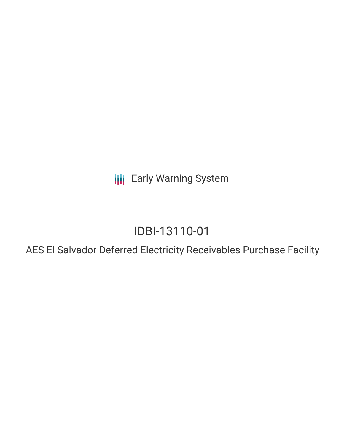**III** Early Warning System

# IDBI-13110-01

AES El Salvador Deferred Electricity Receivables Purchase Facility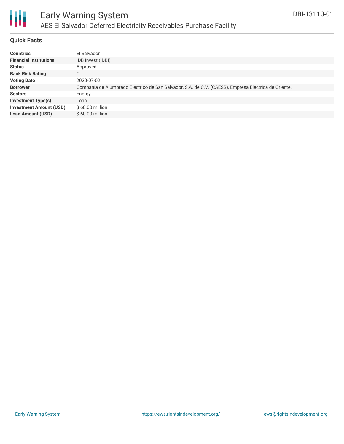

#### **Quick Facts**

| <b>Countries</b>               | El Salvador                                                                                          |
|--------------------------------|------------------------------------------------------------------------------------------------------|
| <b>Financial Institutions</b>  | IDB Invest (IDBI)                                                                                    |
| <b>Status</b>                  | Approved                                                                                             |
| <b>Bank Risk Rating</b>        | C.                                                                                                   |
| <b>Voting Date</b>             | 2020-07-02                                                                                           |
| <b>Borrower</b>                | Compania de Alumbrado Electrico de San Salvador, S.A. de C.V. (CAESS), Empresa Electrica de Oriente, |
| <b>Sectors</b>                 | Energy                                                                                               |
| <b>Investment Type(s)</b>      | Loan                                                                                                 |
| <b>Investment Amount (USD)</b> | $$60.00$ million                                                                                     |
| <b>Loan Amount (USD)</b>       | $$60.00$ million                                                                                     |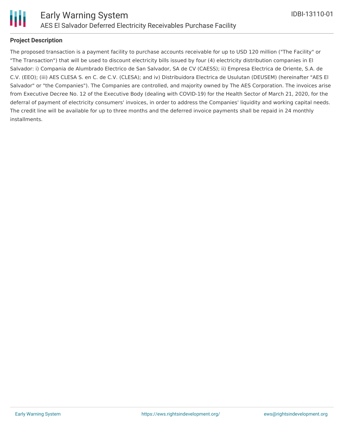

#### **Project Description**

The proposed transaction is a payment facility to purchase accounts receivable for up to USD 120 million ("The Facility" or "The Transaction") that will be used to discount electricity bills issued by four (4) electricity distribution companies in El Salvador: i) Compania de Alumbrado Electrico de San Salvador, SA de CV (CAESS); ii) Empresa Electrica de Oriente, S.A. de C.V. (EEO); (iii) AES CLESA S. en C. de C.V. (CLESA); and iv) Distribuidora Electrica de Usulutan (DEUSEM) (hereinafter "AES El Salvador" or "the Companies"). The Companies are controlled, and majority owned by The AES Corporation. The invoices arise from Executive Decree No. 12 of the Executive Body (dealing with COVID-19) for the Health Sector of March 21, 2020, for the deferral of payment of electricity consumers' invoices, in order to address the Companies' liquidity and working capital needs. The credit line will be available for up to three months and the deferred invoice payments shall be repaid in 24 monthly installments.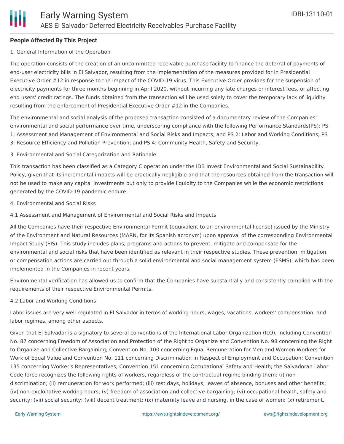### **People Affected By This Project**

#### 1. General Information of the Operation

The operation consists of the creation of an uncommitted receivable purchase facility to finance the deferral of payments of end-user electricity bills in El Salvador, resulting from the implementation of the measures provided for in Presidential Executive Order #12 in response to the impact of the COVID-19 virus. This Executive Order provides for the suspension of electricity payments for three months beginning in April 2020, without incurring any late charges or interest fees, or affecting end users' credit ratings. The funds obtained from the transaction will be used solely to cover the temporary lack of liquidity resulting from the enforcement of Presidential Executive Order #12 in the Companies.

The environmental and social analysis of the proposed transaction consisted of a documentary review of the Companies' environmental and social performance over time, underscoring compliance with the following Performance Standards(PS): PS 1: Assessment and Management of Environmental and Social Risks and Impacts; and PS 2: Labor and Working Conditions; PS 3: Resource Efficiency and Pollution Prevention; and PS 4: Community Health, Safety and Security.

#### 3. Environmental and Social Categorization and Rationale

This transaction has been classified as a Category C operation under the IDB Invest Environmental and Social Sustainability Policy, given that its incremental impacts will be practically negligible and that the resources obtained from the transaction will not be used to make any capital investments but only to provide liquidity to the Companies while the economic restrictions generated by the COVID-19 pandemic endure.

- 4. Environmental and Social Risks
- 4.1 Assessment and Management of Environmental and Social Risks and Impacts

All the Companies have their respective Environmental Permit (equivalent to an environmental license) issued by the Ministry of the Environment and Natural Resources (MARN, for its Spanish acronym) upon approval of the corresponding Environmental Impact Study (EIS). This study includes plans, programs and actions to prevent, mitigate and compensate for the environmental and social risks that have been identified as relevant in their respective studies. These prevention, mitigation, or compensation actions are carried out through a solid environmental and social management system (ESMS), which has been implemented in the Companies in recent years.

Environmental verification has allowed us to confirm that the Companies have substantially and consistently complied with the requirements of their respective Environmental Permits.

### 4.2 Labor and Working Conditions

Labor issues are very well regulated in El Salvador in terms of working hours, wages, vacations, workers' compensation, and labor regimes, among other aspects.

Given that El Salvador is a signatory to several conventions of the International Labor Organization (ILO), including Convention No. 87 concerning Freedom of Association and Protection of the Right to Organize and Convention No. 98 concerning the Right to Organize and Collective Bargaining; Convention No. 100 concerning Equal Remuneration for Men and Women Workers for Work of Equal Value and Convention No. 111 concerning Discrimination in Respect of Employment and Occupation; Convention 135 concerning Worker's Representatives; Convention 151 concerning Occupational Safety and Health; the Salvadoran Labor Code force recognizes the following rights of workers, regardless of the contractual regime binding them: (i) nondiscrimination; (ii) remuneration for work performed; (iii) rest days, holidays, leaves of absence, bonuses and other benefits; (iv) non-exploitative working hours; (v) freedom of association and collective bargaining; (vi) occupational health, safety and security; (vii) social security; (viii) decent treatment; (ix) maternity leave and nursing, in the case of women; (x) retirement,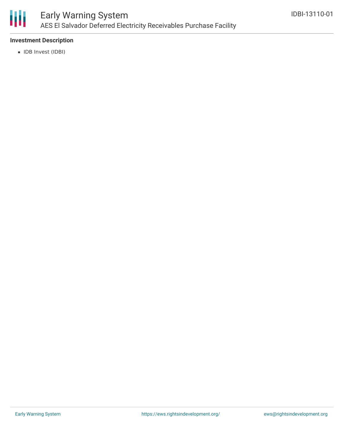

### **Investment Description**

• IDB Invest (IDBI)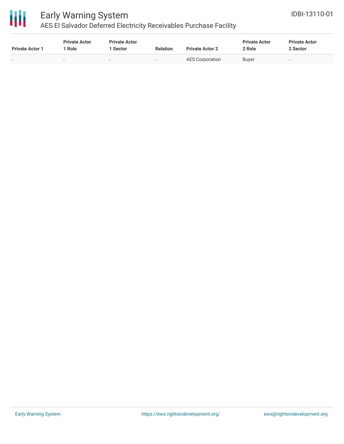

# Early Warning System

### AES El Salvador Deferred Electricity Receivables Purchase Facility

| <b>Private Actor 1</b>   | <b>Private Actor</b><br>Role | <b>Private Actor</b><br>1 Sector | <b>Relation</b> | <b>Private Actor 2</b> | <b>Private Actor</b><br>2 Role | <b>Private Actor</b><br>2 Sector |
|--------------------------|------------------------------|----------------------------------|-----------------|------------------------|--------------------------------|----------------------------------|
| $\overline{\phantom{a}}$ |                              | $\sim$                           | $\sim$          | <b>AES Corporation</b> | <b>Buver</b>                   | $\sim$                           |